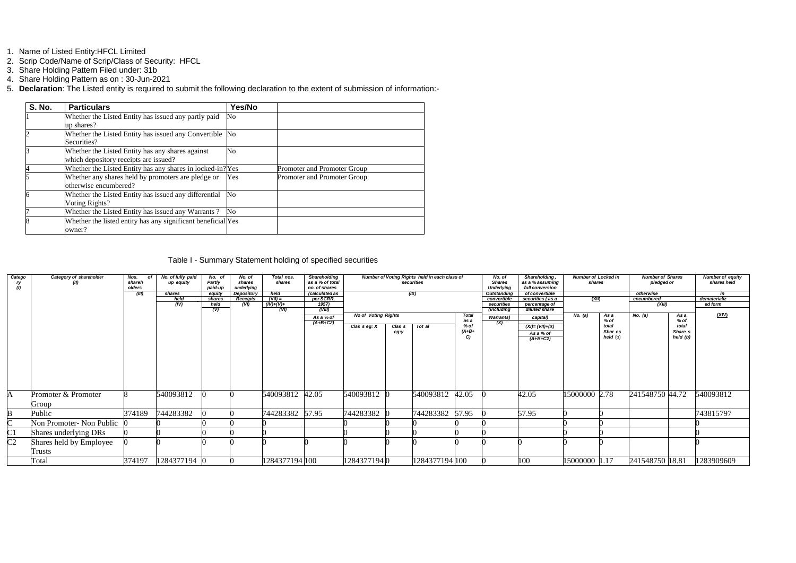- 1. Name of Listed Entity:HFCL Limited
- 2. Scrip Code/Name of Scrip/Class of Security: HFCL
- 3. Share Holding Pattern Filed under: 31b
- 4. Share Holding Pattern as on : 30-Jun-2021
- 5. **Declaration**: The Listed entity is required to submit the following declaration to the extent of submission of information:-

| <b>S. No.</b> | <b>Particulars</b>                                                                        | Yes/No |                             |
|---------------|-------------------------------------------------------------------------------------------|--------|-----------------------------|
|               | Whether the Listed Entity has issued any partly paid<br>up shares?                        | No     |                             |
|               | Whether the Listed Entity has issued any Convertible No<br>Securities?                    |        |                             |
|               | Whether the Listed Entity has any shares against<br>which depository receipts are issued? | No     |                             |
|               | Whether the Listed Entity has any shares in locked-in? Yes                                |        | Promoter and Promoter Group |
|               | Whether any shares held by promoters are pledge or<br>otherwise encumbered?               | Yes    | Promoter and Promoter Group |
|               | Whether the Listed Entity has issued any differential<br>Voting Rights?                   | No     |                             |
|               | Whether the Listed Entity has issued any Warrants?                                        | No     |                             |
|               | Whether the listed entity has any significant beneficial Yes<br>owner?                    |        |                             |

## Table I - Summary Statement holding of specified securities

| Catego<br>ry<br>(1) | Category of shareholder            | Nos.<br>Ωf<br>shareh<br>olders<br>(III) | No. of fully paid<br>up equity<br>shares | No. of<br><b>Partly</b><br>paid-up<br>eauitv | No. of<br>shares<br>underlying<br>Depository | Total nos.<br>shares<br>held | <b>Shareholding</b><br>as a % of total<br>no. of shares<br><i>(calculated as</i> |                            |                   | Number of Voting Rights held in each class of<br>securities<br>(IX) |                      | No. of<br><b>Shares</b><br><b>Underlying</b><br><b>Outstanding</b> | Shareholding,<br>as a % assuming<br>full conversion<br>of convertible | <b>Number of Locked in</b><br>shares |                | <b>Number of Shares</b><br>pledged or<br>otherwise |              | <b>Number of equity</b><br>shares held<br>in |
|---------------------|------------------------------------|-----------------------------------------|------------------------------------------|----------------------------------------------|----------------------------------------------|------------------------------|----------------------------------------------------------------------------------|----------------------------|-------------------|---------------------------------------------------------------------|----------------------|--------------------------------------------------------------------|-----------------------------------------------------------------------|--------------------------------------|----------------|----------------------------------------------------|--------------|----------------------------------------------|
|                     |                                    |                                         | held                                     | shares                                       | <b>Receipts</b>                              | $(VII) =$                    | per SCRR,                                                                        |                            |                   |                                                                     |                      | convertible                                                        | securities (as a                                                      | <u>(XII)</u>                         |                | encumbered                                         |              | dematerializ                                 |
|                     |                                    |                                         | (IV)                                     | held                                         | (VI)                                         | $(IV)+(V)+$                  | 1957)                                                                            |                            |                   |                                                                     |                      | securities                                                         | percentage of                                                         |                                      |                | (XIII)                                             |              | ed form                                      |
|                     |                                    |                                         |                                          | (V)                                          |                                              | (VI)                         | (VIII)                                                                           |                            |                   |                                                                     |                      | (including                                                         | diluted share                                                         |                                      |                |                                                    |              |                                              |
|                     |                                    |                                         |                                          |                                              |                                              |                              | As a % of                                                                        | <b>No of Voting Rights</b> |                   |                                                                     | <b>Total</b><br>as a | <b>Warrants</b> )                                                  | capital)                                                              | No. $(a)$                            | As a<br>$%$ of | No. (a)                                            | As a<br>% of | (XIV)                                        |
|                     |                                    |                                         |                                          |                                              |                                              |                              | $(A+B+C2)$                                                                       | Clas $s$ eg: $X$           | Clas <sub>s</sub> | Tot al                                                              | % of                 | (X)                                                                | $(XI)=(VII)+(X)$                                                      |                                      | total          |                                                    | total        |                                              |
|                     |                                    |                                         |                                          |                                              |                                              |                              |                                                                                  |                            | eg:y              |                                                                     | $(A+B+$              |                                                                    | As a % of                                                             |                                      | Shar es        |                                                    | Share s      |                                              |
|                     |                                    |                                         |                                          |                                              |                                              |                              |                                                                                  |                            |                   |                                                                     | C                    |                                                                    | $(A+B+C2)$                                                            |                                      | held(b)        |                                                    | held (b)     |                                              |
|                     | Promoter & Promoter<br>Group       |                                         | 540093812                                |                                              |                                              | 540093812                    | 42.05                                                                            | 540093812 0                |                   | 540093812 42.05                                                     |                      |                                                                    | 42.05                                                                 | 15000000 2.78                        |                | 241548750 44.72                                    |              | 540093812                                    |
|                     | Public                             | 374189                                  | 744283382                                |                                              |                                              | 744283382 57.95              |                                                                                  | 744283382                  |                   | 744283382                                                           | 57.95                |                                                                    | 57.95                                                                 |                                      |                |                                                    |              | 743815797                                    |
|                     | Non Promoter- Non Public           |                                         |                                          |                                              |                                              |                              |                                                                                  |                            |                   |                                                                     |                      |                                                                    |                                                                       |                                      |                |                                                    |              |                                              |
| C <sub>1</sub>      | Shares underlying DRs              |                                         |                                          |                                              |                                              |                              |                                                                                  |                            |                   |                                                                     |                      |                                                                    |                                                                       |                                      |                |                                                    |              |                                              |
| C <sub>2</sub>      | Shares held by Employee<br>I rusts |                                         |                                          |                                              |                                              |                              |                                                                                  |                            |                   |                                                                     |                      |                                                                    |                                                                       |                                      |                |                                                    |              |                                              |
|                     | Total                              | 374197                                  | 1284377194 0                             |                                              |                                              | 1284377194 100               |                                                                                  | 12843771940                |                   | 1284377194 100                                                      |                      |                                                                    | 100                                                                   | 15000000 1.17                        |                | 241548750 18.81                                    |              | 1283909609                                   |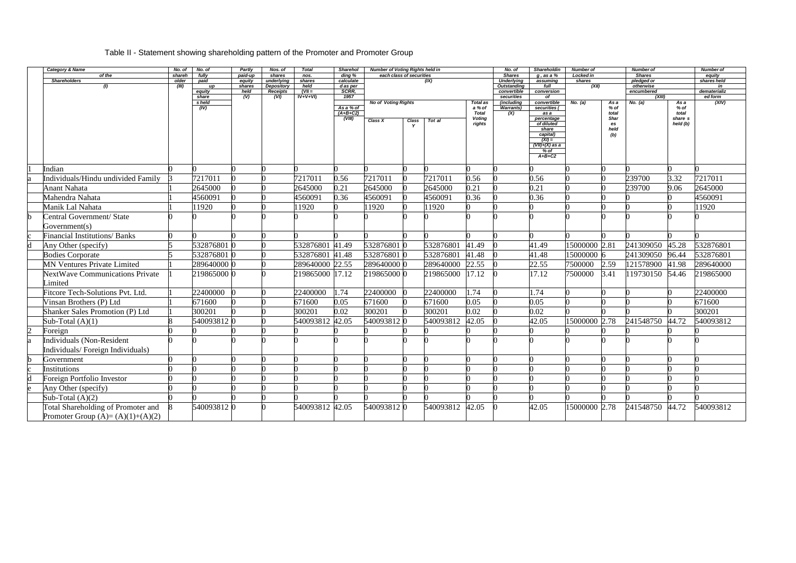# Table II - Statement showing shareholding pattern of the Promoter and Promoter Group

| Category & Name                        | No. of          | No. of          | Partly            | Nos. of              | <b>Total</b>    | <b>Sharehol</b>     | Number of Voting Rights held in |                          |           |                  | No. of                             | <b>Shareholdin</b>           | <b>Number of</b>    |                   | <b>Number of</b>            |                     | <b>Number of</b>      |
|----------------------------------------|-----------------|-----------------|-------------------|----------------------|-----------------|---------------------|---------------------------------|--------------------------|-----------|------------------|------------------------------------|------------------------------|---------------------|-------------------|-----------------------------|---------------------|-----------------------|
| of the<br><b>Shareholders</b>          | shareh<br>older | fully<br>paid   | paid-up<br>equity | shares<br>underlying | nos.<br>shares  | ding %<br>calculate |                                 | each class of securities | (IX)      |                  | <b>Shares</b><br><b>Underlying</b> | g, as a %<br>assuming        | Locked in<br>shares |                   | <b>Shares</b><br>pledged or |                     | equity<br>shares held |
| (1)                                    | (III)           | up              | shares            | Depository           | held            | d as per            |                                 |                          |           |                  | <b>Outstanding</b>                 | full                         | (XII)               |                   | otherwise                   |                     | in                    |
|                                        |                 | equity          | held              | <b>Receipts</b>      | $(VII =$        | SCRR.               |                                 |                          |           |                  | convertible                        | conversion                   |                     |                   | encumbered                  |                     | dematerializ          |
|                                        |                 | share<br>s held | (V)               | (VI)                 | $IV+V+VI)$      | 1957                | <b>No of Voting Rights</b>      |                          |           | <b>Total</b> as  | securities<br>(including           | of<br>convertible            | No. (a)             | As a              | (XIII)<br>No. $(a)$         | As a                | ed form<br>(XIV)      |
|                                        |                 | (IV)            |                   |                      |                 | As a % of           |                                 |                          |           | a % of           | <b>Warrants</b> )                  | securities (                 |                     | % of              |                             | $%$ of              |                       |
|                                        |                 |                 |                   |                      |                 | $(A+B+C2)$          |                                 |                          |           | <b>Total</b>     | (X)                                | as a                         |                     | total             |                             | total               |                       |
|                                        |                 |                 |                   |                      |                 | (VIII)              | Class X                         | Class                    | Tot al    | Voting<br>rights |                                    | percentage<br>of diluted     |                     | <b>Shar</b><br>es |                             | share s<br>held (b) |                       |
|                                        |                 |                 |                   |                      |                 |                     |                                 | $\mathbf v$              |           |                  |                                    | share                        |                     | held              |                             |                     |                       |
|                                        |                 |                 |                   |                      |                 |                     |                                 |                          |           |                  |                                    | capital)                     |                     | (b)               |                             |                     |                       |
|                                        |                 |                 |                   |                      |                 |                     |                                 |                          |           |                  |                                    | $(XI) =$<br>$(VII)+(X)$ as a |                     |                   |                             |                     |                       |
|                                        |                 |                 |                   |                      |                 |                     |                                 |                          |           |                  |                                    | % of                         |                     |                   |                             |                     |                       |
|                                        |                 |                 |                   |                      |                 |                     |                                 |                          |           |                  |                                    | $A+B+C2$                     |                     |                   |                             |                     |                       |
| Indian                                 |                 |                 |                   |                      |                 |                     |                                 |                          |           |                  |                                    |                              |                     |                   |                             |                     |                       |
| Individuals/Hindu undivided Family     |                 | 7217011         |                   |                      | 7217011         | 0.56                | 7217011                         |                          | 7217011   | 0.56             |                                    | 0.56                         |                     |                   | 239700                      | 3.32                | 7217011               |
| <b>Anant Nahata</b>                    |                 | 2645000         |                   |                      | 2645000         | 0.21                | 2645000                         |                          | 2645000   | 0.21             |                                    | 0.21                         |                     |                   | 239700                      | 9.06                | 2645000               |
|                                        |                 |                 |                   |                      |                 |                     |                                 |                          |           |                  |                                    |                              |                     |                   |                             |                     |                       |
| Mahendra Nahata                        |                 | 4560091         |                   |                      | 4560091         | 0.36                | 4560091                         |                          | 4560091   | 0.36             |                                    | 0.36                         |                     |                   |                             |                     | 4560091               |
| Manik Lal Nahata                       |                 | 1920            |                   |                      | 11920           |                     | 11920                           |                          | 11920     |                  |                                    |                              |                     |                   |                             |                     | 11920                 |
| Central Government/ State              |                 |                 |                   |                      |                 |                     |                                 |                          |           |                  |                                    |                              |                     |                   |                             |                     |                       |
| Government(s)                          |                 |                 |                   |                      |                 |                     |                                 |                          |           |                  |                                    |                              |                     |                   |                             |                     |                       |
| <b>Financial Institutions/Banks</b>    |                 |                 |                   |                      |                 |                     |                                 |                          |           |                  |                                    |                              |                     |                   |                             |                     |                       |
| Any Other (specify)                    |                 | 532876801 0     |                   |                      | 532876801       | 41.49               | 532876801 0                     |                          | 532876801 | 41.49            |                                    | 41.49                        | 15000000 2.81       |                   | 241309050                   | 45.28               | 532876801             |
| <b>Bodies Corporate</b>                |                 | 532876801 0     |                   |                      | 532876801 41.48 |                     | 532876801 0                     |                          | 532876801 | 41.48            |                                    | 41.48                        | 15000000 6          |                   | 241309050                   | 96.44               | 532876801             |
| <b>MN Ventures Private Limited</b>     |                 | 289640000 0     |                   |                      | 289640000 22.55 |                     | 289640000 0                     |                          | 289640000 | 22.55            |                                    | 22.55                        | 7500000             | 2.59              | 121578900                   | 41.98               | 289640000             |
| <b>NextWave Communications Private</b> |                 | 219865000 0     |                   |                      | 219865000 17.12 |                     | 219865000 0                     |                          | 219865000 | 17.12            |                                    | 17.12                        | 7500000             | 3.41              | 119730150                   | 54.46               | 219865000             |
| Limited                                |                 |                 |                   |                      |                 |                     |                                 |                          |           |                  |                                    |                              |                     |                   |                             |                     |                       |
| Fitcore Tech-Solutions Pvt. Ltd.       |                 | 22400000        |                   |                      | 22400000        | 1.74                | 22400000                        | $\bf{0}$                 | 22400000  | 1.74             |                                    | 1.74                         |                     |                   |                             |                     | 22400000              |
| Vinsan Brothers (P) Ltd                |                 | 671600          |                   |                      | 671600          | 0.05                | 671600                          |                          | 671600    | 0.05             |                                    | 0.05                         |                     |                   |                             |                     | 671600                |
| Shanker Sales Promotion (P) Ltd        |                 | 300201          |                   |                      | 300201          | 0.02                | 300201                          |                          | 300201    | 0.02             |                                    | 0.02                         |                     |                   |                             |                     | 300201                |
| Sub-Total $(A)(1)$                     |                 | 540093812 0     |                   |                      | 540093812       | 2.05                | 540093812 0                     |                          | 540093812 | 42.05            |                                    | 42.05                        | 15000000 2.78       |                   | 241548750                   | 44.72               | 540093812             |
| Foreign                                |                 |                 |                   |                      |                 |                     |                                 |                          |           |                  |                                    |                              |                     |                   |                             |                     |                       |
| <b>Individuals (Non-Resident</b>       |                 |                 |                   |                      |                 |                     |                                 |                          |           |                  |                                    |                              |                     |                   |                             |                     |                       |
|                                        |                 |                 |                   |                      |                 |                     |                                 |                          |           |                  |                                    |                              |                     |                   |                             |                     |                       |
| Individuals/Foreign Individuals)       |                 |                 |                   |                      |                 |                     |                                 |                          |           |                  |                                    |                              |                     |                   |                             |                     |                       |
| Government                             |                 |                 |                   |                      |                 |                     |                                 |                          |           |                  |                                    |                              |                     |                   |                             |                     |                       |
| Institutions                           |                 |                 |                   |                      |                 |                     |                                 |                          |           |                  |                                    |                              |                     | 0                 |                             |                     |                       |
| Foreign Portfolio Investor             |                 |                 |                   |                      |                 |                     |                                 |                          |           |                  |                                    |                              |                     |                   |                             |                     |                       |
| Any Other (specify)                    |                 |                 |                   |                      |                 |                     |                                 |                          |           |                  |                                    |                              |                     |                   |                             |                     |                       |
| Sub-Total $(A)(2)$                     |                 |                 |                   |                      |                 |                     |                                 |                          |           |                  |                                    |                              |                     |                   |                             |                     |                       |
| Total Shareholding of Promoter and     |                 | 540093812 0     |                   |                      | 540093812 42.05 |                     | 5400938120                      |                          | 540093812 | 42.05            |                                    | 42.05                        | 15000000 2.78       |                   | 241548750                   | 44.72               | 540093812             |
| Promoter Group $(A)=(A)(1)+(A)(2)$     |                 |                 |                   |                      |                 |                     |                                 |                          |           |                  |                                    |                              |                     |                   |                             |                     |                       |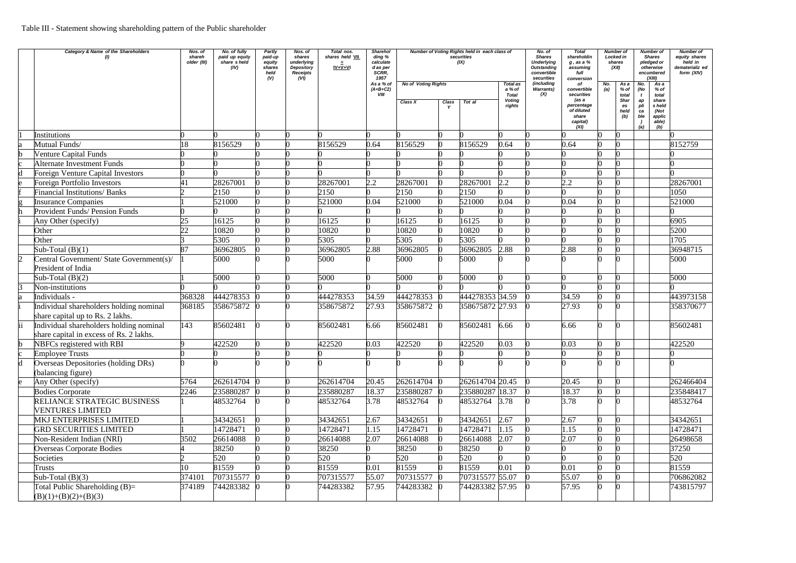|   | Category & Name of the Shareholders                                                | Nos. of<br>shareh<br>older (III) | No. of fully<br>paid up equity<br>share sheld<br>(IV) | Partly<br>paid-up<br>equity<br>shares<br>held<br>(V) | Nos. of<br>shares<br>underlying<br>Depository<br><b>Receipts</b><br>(VI) | Total nos.<br>shares held VII<br>$IV + V + VI$ | <b>Sharehol</b><br>ding %<br>calculate<br>d as per<br>SCRR,<br>1957<br>As a % of | Number of Voting Rights held in each class of<br>securities<br>(IX)<br><b>No of Voting Rights</b><br><b>Total as</b> |              |                 |                                            | No. of<br><b>Shares</b><br><b>Underlying</b><br><b>Outstanding</b><br>convertible<br>securities<br>(including | <b>Total</b><br>shareholdin<br>$g$ , as a $%$<br>assuming<br>full<br>conversion<br>оf       | <b>Number of</b><br>Locked in<br>shares<br>(XII)<br>$\overline{Asa}$<br>No. |                                              | <b>Number of</b><br><b>Shares</b><br>pledged or<br>otherwise<br>encumbered<br>(XIII)<br>As a<br>No. |                                                                      | <b>Number of</b><br>equity shares<br>held in<br>dematerializ ed<br>form (XIV) |
|---|------------------------------------------------------------------------------------|----------------------------------|-------------------------------------------------------|------------------------------------------------------|--------------------------------------------------------------------------|------------------------------------------------|----------------------------------------------------------------------------------|----------------------------------------------------------------------------------------------------------------------|--------------|-----------------|--------------------------------------------|---------------------------------------------------------------------------------------------------------------|---------------------------------------------------------------------------------------------|-----------------------------------------------------------------------------|----------------------------------------------|-----------------------------------------------------------------------------------------------------|----------------------------------------------------------------------|-------------------------------------------------------------------------------|
|   |                                                                                    |                                  |                                                       |                                                      |                                                                          |                                                | $(A+B+C2)$<br>VIII                                                               | Class X                                                                                                              | <b>Class</b> | Tot al          | a % of<br>Total<br><b>Voting</b><br>rights | <b>Warrants</b> )<br>(X)                                                                                      | convertible<br>securities<br>(as a<br>percentage<br>of diluted<br>share<br>capital)<br>(XI) | (a)                                                                         | $%$ of<br>total<br>Shar<br>es<br>held<br>(b) | (No<br>ap<br>pli<br>ca<br>ble<br>(a)                                                                | $%$ of<br>total<br>share<br>s held<br>(Not<br>applic<br>able)<br>(b) |                                                                               |
|   | <b>Institutions</b>                                                                |                                  |                                                       |                                                      |                                                                          |                                                |                                                                                  |                                                                                                                      |              |                 |                                            |                                                                                                               |                                                                                             |                                                                             |                                              |                                                                                                     |                                                                      |                                                                               |
|   | Mutual Funds/                                                                      | 18                               | 8156529                                               |                                                      |                                                                          | 8156529                                        | 0.64                                                                             | 8156529                                                                                                              |              | 8156529         | 0.64                                       |                                                                                                               | 0.64                                                                                        |                                                                             |                                              |                                                                                                     |                                                                      | 8152759                                                                       |
|   | <b>Venture Capital Funds</b>                                                       |                                  |                                                       |                                                      |                                                                          |                                                |                                                                                  |                                                                                                                      |              |                 |                                            |                                                                                                               |                                                                                             |                                                                             |                                              |                                                                                                     |                                                                      |                                                                               |
|   | Alternate Investment Funds                                                         |                                  |                                                       |                                                      |                                                                          |                                                |                                                                                  |                                                                                                                      |              |                 |                                            |                                                                                                               |                                                                                             |                                                                             |                                              |                                                                                                     |                                                                      |                                                                               |
|   | Foreign Venture Capital Investors                                                  |                                  |                                                       |                                                      |                                                                          |                                                |                                                                                  |                                                                                                                      |              |                 |                                            |                                                                                                               |                                                                                             |                                                                             |                                              |                                                                                                     |                                                                      |                                                                               |
|   | Foreign Portfolio Investors                                                        |                                  | 28267001                                              |                                                      |                                                                          | 28267001                                       | 2.2                                                                              | 28267001                                                                                                             |              | 28267001        | 2.2                                        |                                                                                                               | 2.2                                                                                         |                                                                             |                                              |                                                                                                     |                                                                      | 28267001                                                                      |
|   | <b>Financial Institutions/ Banks</b>                                               |                                  | 2150                                                  |                                                      |                                                                          | 2150                                           |                                                                                  | 2150                                                                                                                 |              | 2150            |                                            |                                                                                                               |                                                                                             |                                                                             |                                              |                                                                                                     |                                                                      | 1050                                                                          |
|   | <b>Insurance Companies</b>                                                         |                                  | 521000                                                |                                                      |                                                                          | 521000                                         | 0.04                                                                             | 521000                                                                                                               |              | 521000          | 0.04                                       |                                                                                                               | 0.04                                                                                        |                                                                             |                                              |                                                                                                     |                                                                      | 521000                                                                        |
|   | Provident Funds/ Pension Funds                                                     |                                  |                                                       |                                                      |                                                                          |                                                |                                                                                  |                                                                                                                      |              |                 |                                            |                                                                                                               |                                                                                             |                                                                             |                                              |                                                                                                     |                                                                      |                                                                               |
|   | Any Other (specify)                                                                | 25                               | 16125                                                 |                                                      |                                                                          | 16125                                          |                                                                                  | 16125                                                                                                                |              | 16125           |                                            |                                                                                                               |                                                                                             |                                                                             |                                              |                                                                                                     |                                                                      | 6905                                                                          |
|   | Other                                                                              | 22                               | 10820                                                 |                                                      |                                                                          | 10820                                          |                                                                                  | 10820                                                                                                                |              | 10820           |                                            |                                                                                                               |                                                                                             |                                                                             |                                              |                                                                                                     |                                                                      | 5200                                                                          |
|   | Other                                                                              |                                  | 5305                                                  |                                                      |                                                                          | 5305                                           |                                                                                  | 5305                                                                                                                 |              | 5305            |                                            |                                                                                                               |                                                                                             |                                                                             |                                              |                                                                                                     |                                                                      | 1705                                                                          |
|   | Sub-Total $(B)(1)$                                                                 | 87                               | 36962805                                              |                                                      |                                                                          | 36962805                                       | 2.88                                                                             | 36962805                                                                                                             |              | 36962805        | 2.88                                       |                                                                                                               | 2.88                                                                                        |                                                                             |                                              |                                                                                                     |                                                                      | 36948715                                                                      |
|   | Central Government/ State Government(s)/<br>President of India                     |                                  | 5000                                                  |                                                      |                                                                          | 5000                                           |                                                                                  | 5000                                                                                                                 |              | 5000            |                                            |                                                                                                               |                                                                                             |                                                                             |                                              |                                                                                                     |                                                                      | 5000                                                                          |
|   | Sub-Total $(B)(2)$                                                                 |                                  | 5000                                                  |                                                      |                                                                          | 5000                                           |                                                                                  | 5000                                                                                                                 |              | 5000            |                                            |                                                                                                               |                                                                                             |                                                                             |                                              |                                                                                                     |                                                                      | 5000                                                                          |
|   | Non-institutions                                                                   |                                  |                                                       |                                                      |                                                                          |                                                |                                                                                  |                                                                                                                      |              |                 |                                            |                                                                                                               |                                                                                             |                                                                             |                                              |                                                                                                     |                                                                      |                                                                               |
|   | Individuals -                                                                      | 368328                           | 444278353                                             |                                                      |                                                                          | 444278353                                      | 34.59                                                                            | 444278353                                                                                                            |              | 444278353 34.59 |                                            |                                                                                                               | 34.59                                                                                       |                                                                             |                                              |                                                                                                     |                                                                      | 443973158                                                                     |
|   | Individual shareholders holding nominal<br>share capital up to Rs. 2 lakhs.        | 368185                           | 358675872                                             |                                                      |                                                                          | 358675872                                      | 27.93                                                                            | 358675872                                                                                                            |              | 358675872 27.93 |                                            |                                                                                                               | 27.93                                                                                       |                                                                             |                                              |                                                                                                     |                                                                      | 358370677                                                                     |
|   | Individual shareholders holding nominal<br>share capital in excess of Rs. 2 lakhs. | 143                              | 85602481                                              |                                                      |                                                                          | 85602481                                       | 6.66                                                                             | 85602481                                                                                                             |              | 85602481        | 6.66                                       |                                                                                                               | 6.66                                                                                        |                                                                             |                                              |                                                                                                     |                                                                      | 85602481                                                                      |
|   | NBFCs registered with RBI                                                          |                                  | 422520                                                |                                                      |                                                                          | 422520                                         | 0.03                                                                             | 422520                                                                                                               |              | 422520          | 0.03                                       |                                                                                                               | 0.03                                                                                        |                                                                             |                                              |                                                                                                     |                                                                      | 422520                                                                        |
|   | <b>Employee Trusts</b>                                                             |                                  |                                                       |                                                      |                                                                          |                                                |                                                                                  |                                                                                                                      |              |                 |                                            |                                                                                                               |                                                                                             |                                                                             |                                              |                                                                                                     |                                                                      |                                                                               |
| d | Overseas Depositories (holding DRs)<br>(balancing figure)                          |                                  |                                                       |                                                      |                                                                          |                                                |                                                                                  |                                                                                                                      |              |                 |                                            |                                                                                                               |                                                                                             |                                                                             |                                              |                                                                                                     |                                                                      |                                                                               |
|   | Any Other (specify)                                                                | 5764                             | 262614704                                             |                                                      |                                                                          | 262614704                                      | 20.45                                                                            | 262614704 (                                                                                                          |              | 262614704 20.45 |                                            |                                                                                                               | 20.45                                                                                       |                                                                             |                                              |                                                                                                     |                                                                      | 262466404                                                                     |
|   | <b>Bodies Corporate</b>                                                            | 2246                             | 235880287                                             |                                                      |                                                                          | 235880287                                      | 18.37                                                                            | 235880287                                                                                                            |              | 235880287 18.37 |                                            |                                                                                                               | 18.37                                                                                       |                                                                             |                                              |                                                                                                     |                                                                      | 235848417                                                                     |
|   | RELIANCE STRATEGIC BUSINESS<br><b>VENTURES LIMITED</b>                             |                                  | 48532764                                              |                                                      |                                                                          | 48532764                                       | 3.78                                                                             | 48532764                                                                                                             |              | 48532764 3.78   |                                            |                                                                                                               | 3.78                                                                                        |                                                                             |                                              |                                                                                                     |                                                                      | 48532764                                                                      |
|   | MKJ ENTERPRISES LIMITED                                                            |                                  | 34342651                                              |                                                      |                                                                          | 34342651                                       | 2.67                                                                             | 34342651                                                                                                             |              | 34342651        | 2.67                                       |                                                                                                               | 2.67                                                                                        |                                                                             |                                              |                                                                                                     |                                                                      | 34342651                                                                      |
|   | <b>GRD SECURITIES LIMITED</b>                                                      |                                  | 14728471                                              |                                                      |                                                                          | 14728471                                       | 1.15                                                                             | 14728471                                                                                                             |              | 14728471        | 1.15                                       |                                                                                                               | .15                                                                                         |                                                                             |                                              |                                                                                                     |                                                                      | 14728471                                                                      |
|   | Non-Resident Indian (NRI)                                                          | 3502                             | 26614088                                              |                                                      |                                                                          | 26614088                                       | 2.07                                                                             | 26614088                                                                                                             |              | 26614088        | 2.07                                       |                                                                                                               | 2.07                                                                                        |                                                                             |                                              |                                                                                                     |                                                                      | 26498658                                                                      |
|   | <b>Overseas Corporate Bodies</b>                                                   |                                  | 38250                                                 |                                                      |                                                                          | 38250                                          |                                                                                  | 38250                                                                                                                |              | 38250           |                                            |                                                                                                               |                                                                                             |                                                                             |                                              |                                                                                                     |                                                                      | 37250                                                                         |
|   | Societies                                                                          |                                  | 520                                                   |                                                      |                                                                          | 520                                            |                                                                                  | 520                                                                                                                  |              | 520             |                                            |                                                                                                               |                                                                                             |                                                                             |                                              |                                                                                                     |                                                                      | 520                                                                           |
|   | Trusts                                                                             | 10                               | 81559                                                 |                                                      |                                                                          | 81559                                          | 0.01                                                                             | 81559                                                                                                                |              | 81559           | 0.01                                       |                                                                                                               | 0.01                                                                                        |                                                                             |                                              |                                                                                                     |                                                                      | 81559                                                                         |
|   | Sub-Total $(B)(3)$                                                                 | 374101                           | 707315577                                             |                                                      |                                                                          | 707315577                                      | 55.07                                                                            | 707315577                                                                                                            |              | 707315577 55.07 |                                            |                                                                                                               | 55.07                                                                                       |                                                                             |                                              |                                                                                                     |                                                                      | 706862082                                                                     |
|   | Total Public Shareholding $(B)=$<br>$(B)(1)+(B)(2)+(B)(3)$                         | 374189                           | 744283382                                             |                                                      |                                                                          | 744283382                                      | 57.95                                                                            | 744283382                                                                                                            |              | 744283382 57.95 |                                            |                                                                                                               | 57.95                                                                                       |                                                                             | n                                            |                                                                                                     |                                                                      | 743815797                                                                     |